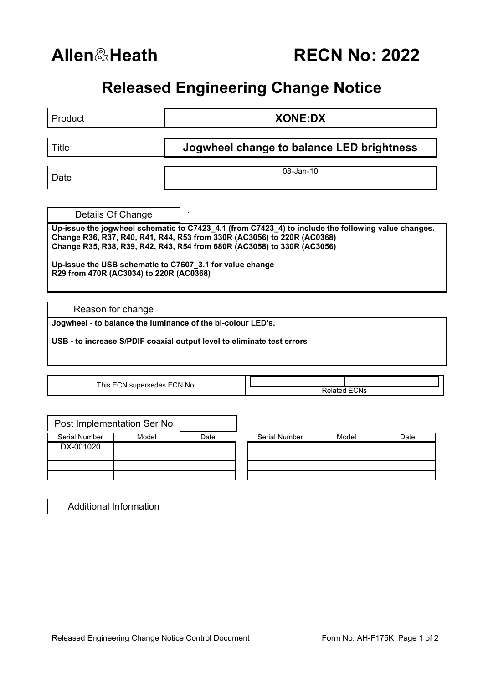**Allen**&**Heath RECN No: 2022**

## **Released Engineering Change Notice**

| Product                                                                                                                                                                                                                                                                                                                                                          | <b>XONE:DX</b>                            |  |  |  |  |  |  |
|------------------------------------------------------------------------------------------------------------------------------------------------------------------------------------------------------------------------------------------------------------------------------------------------------------------------------------------------------------------|-------------------------------------------|--|--|--|--|--|--|
|                                                                                                                                                                                                                                                                                                                                                                  |                                           |  |  |  |  |  |  |
| <b>Title</b>                                                                                                                                                                                                                                                                                                                                                     | Jogwheel change to balance LED brightness |  |  |  |  |  |  |
|                                                                                                                                                                                                                                                                                                                                                                  |                                           |  |  |  |  |  |  |
| Date                                                                                                                                                                                                                                                                                                                                                             | 08-Jan-10                                 |  |  |  |  |  |  |
|                                                                                                                                                                                                                                                                                                                                                                  |                                           |  |  |  |  |  |  |
| Details Of Change                                                                                                                                                                                                                                                                                                                                                |                                           |  |  |  |  |  |  |
| Up-issue the jogwheel schematic to C7423_4.1 (from C7423_4) to include the following value changes.<br>Change R36, R37, R40, R41, R44, R53 from 330R (AC3056) to 220R (AC0368)<br>Change R35, R38, R39, R42, R43, R54 from 680R (AC3058) to 330R (AC3056)<br>Up-issue the USB schematic to C7607_3.1 for value change<br>R29 from 470R (AC3034) to 220R (AC0368) |                                           |  |  |  |  |  |  |
| Reason for change                                                                                                                                                                                                                                                                                                                                                |                                           |  |  |  |  |  |  |
| Jogwheel - to balance the luminance of the bi-colour LED's.                                                                                                                                                                                                                                                                                                      |                                           |  |  |  |  |  |  |
| USB - to increase S/PDIF coaxial output level to eliminate test errors                                                                                                                                                                                                                                                                                           |                                           |  |  |  |  |  |  |
|                                                                                                                                                                                                                                                                                                                                                                  |                                           |  |  |  |  |  |  |
| This ECN supersedes ECN No.                                                                                                                                                                                                                                                                                                                                      | <b>Related ECNs</b>                       |  |  |  |  |  |  |
|                                                                                                                                                                                                                                                                                                                                                                  |                                           |  |  |  |  |  |  |

|               | Post Implementation Ser No |      |                      |       |      |
|---------------|----------------------------|------|----------------------|-------|------|
| Serial Number | Model                      | Date | <b>Serial Number</b> | Model | Date |
| DX-001020     |                            |      |                      |       |      |
|               |                            |      |                      |       |      |
|               |                            |      |                      |       |      |

| Serial Number | Model | Date |
|---------------|-------|------|
|               |       |      |
|               |       |      |
|               |       |      |
|               |       |      |
|               |       |      |

Additional Information